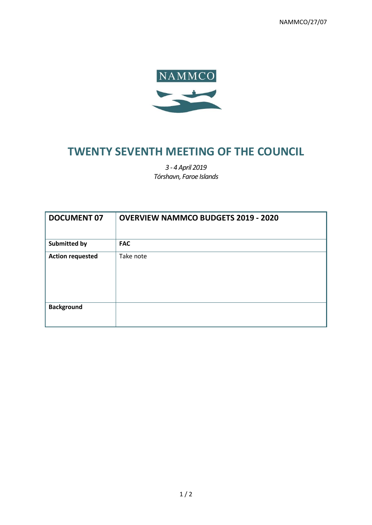NAMMCO/27/07



## **TWENTY SEVENTH MEETING OF THE COUNCIL**

*3 - 4 April 2019 Tórshavn, Faroe Islands*

| <b>DOCUMENT 07</b>      | <b>OVERVIEW NAMMCO BUDGETS 2019 - 2020</b> |
|-------------------------|--------------------------------------------|
| <b>Submitted by</b>     | <b>FAC</b>                                 |
| <b>Action requested</b> | Take note                                  |
| <b>Background</b>       |                                            |